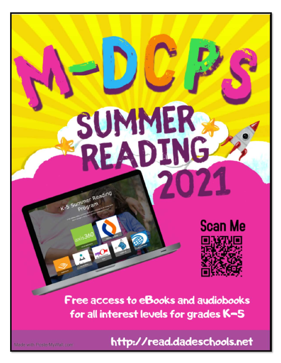# SUMMER

K-5 Summer Reading



Free access to eBooks and audiobooks for all interest levels for grades K-5

http://read.dadeschools.net

Made with PosterMyWall.com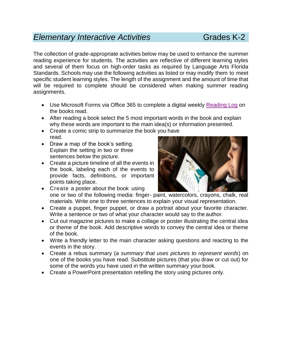# *Elementary Interactive Activities* Grades K-2

The collection of grade-appropriate activities below may be used to enhance the summer reading experience for students. The activities are reflective of different learning styles and several of them focus on high-order tasks as required by Language Arts Florida Standards. Schools may use the following activities as listed or may modify them to meet specific student learning styles. The length of the assignment and the amount of time that will be required to complete should be considered when making summer reading assignments.

- Use Microsoft Forms via Office 365 to complete a digital weekly [Reading Log](https://forms.office.com/Pages/ResponsePage.aspx?id=j_Z4Rc2G-UqzF5Pjgmyg9Q3ZrlWAYUhPha02bjhZUZdUQ0w5REs3UVBGNEVIR0s1SUc1SEFLNDhKUS4u) on the books read.
- After reading a book select the 5 most important words in the book and explain why these words are important to the main idea(s) or information presented.
- Create a comic strip to summarize the book you have read.
- Draw a map of the book's setting. Explain the setting in two or three sentences below the picture.
- Create a picture timeline of all the events in the book, labeling each of the events to provide facts, definitions, or important points taking place.



- Create a poster about the book using one or two of the following media: finger- paint, watercolors, crayons, chalk, real materials. Write one to three sentences to explain your visual representation.
- Create a puppet, finger puppet, or draw a portrait about your favorite character. Write a sentence or two of what your character would say to the author.
- Cut out magazine pictures to make a collage or poster illustrating the central idea or theme of the book. Add descriptive words to convey the central idea or theme of the book.
- Write a friendly letter to the main character asking questions and reacting to the events in the story.
- Create a rebus summary (*a summary that uses pictures to represent words*) on one of the books you have read. Substitute pictures (that you draw or cut out) for some of the words you have used in the written summary your book.
- Create a PowerPoint presentation retelling the story using pictures only.